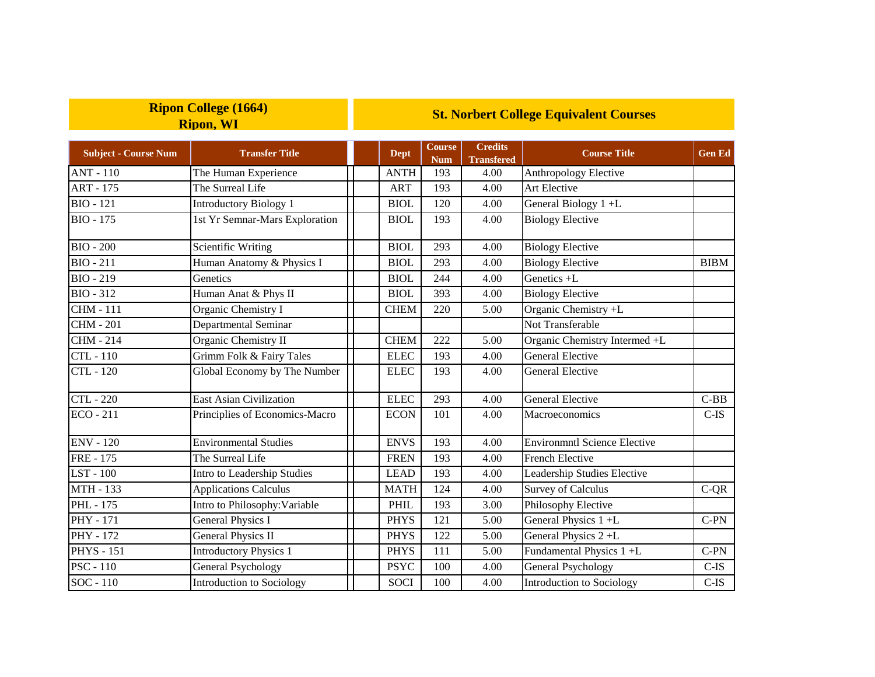|                             | <b>Ripon, WI</b>                 |             |                             |                                     |                                     |               |
|-----------------------------|----------------------------------|-------------|-----------------------------|-------------------------------------|-------------------------------------|---------------|
| <b>Subject - Course Num</b> | <b>Transfer Title</b>            | <b>Dept</b> | <b>Course</b><br><b>Num</b> | <b>Credits</b><br><b>Transfered</b> | <b>Course Title</b>                 | <b>Gen Ed</b> |
| <b>ANT - 110</b>            | The Human Experience             | <b>ANTH</b> | 193                         | 4.00                                | Anthropology Elective               |               |
| <b>ART - 175</b>            | The Surreal Life                 | <b>ART</b>  | 193                         | 4.00                                | Art Elective                        |               |
| <b>BIO</b> - 121            | <b>Introductory Biology 1</b>    | <b>BIOL</b> | 120                         | 4.00                                | General Biology 1+L                 |               |
| <b>BIO - 175</b>            | 1st Yr Semnar-Mars Exploration   | <b>BIOL</b> | 193                         | 4.00                                | <b>Biology Elective</b>             |               |
| $BIO - 200$                 | <b>Scientific Writing</b>        | <b>BIOL</b> | 293                         | 4.00                                | <b>Biology Elective</b>             |               |
| <b>BIO</b> - 211            | Human Anatomy & Physics I        | <b>BIOL</b> | 293                         | 4.00                                | <b>Biology Elective</b>             | <b>BIBM</b>   |
| <b>BIO - 219</b>            | Genetics                         | <b>BIOL</b> | 244                         | 4.00                                | Genetics +L                         |               |
| <b>BIO - 312</b>            | Human Anat & Phys II             | <b>BIOL</b> | 393                         | 4.00                                | <b>Biology Elective</b>             |               |
| <b>CHM - 111</b>            | Organic Chemistry I              | <b>CHEM</b> | 220                         | 5.00                                | Organic Chemistry +L                |               |
| <b>CHM - 201</b>            | Departmental Seminar             |             |                             |                                     | Not Transferable                    |               |
| <b>CHM - 214</b>            | Organic Chemistry II             | <b>CHEM</b> | 222                         | 5.00                                | Organic Chemistry Intermed +L       |               |
| <b>CTL-110</b>              | Grimm Folk & Fairy Tales         | <b>ELEC</b> | 193                         | 4.00                                | <b>General Elective</b>             |               |
| CTL - 120                   | Global Economy by The Number     | <b>ELEC</b> | 193                         | 4.00                                | <b>General Elective</b>             |               |
| <b>CTL</b> - 220            | East Asian Civilization          | <b>ELEC</b> | 293                         | 4.00                                | <b>General Elective</b>             | $C-BB$        |
| <b>ECO - 211</b>            | Principlies of Economics-Macro   | <b>ECON</b> | 101                         | 4.00                                | Macroeconomics                      | $C-IS$        |
| <b>ENV - 120</b>            | <b>Environmental Studies</b>     | <b>ENVS</b> | 193                         | 4.00                                | <b>Environmntl Science Elective</b> |               |
| <b>FRE</b> - 175            | The Surreal Life                 | <b>FREN</b> | 193                         | 4.00                                | <b>French Elective</b>              |               |
| LST - 100                   | Intro to Leadership Studies      | <b>LEAD</b> | 193                         | 4.00                                | Leadership Studies Elective         |               |
| MTH - 133                   | <b>Applications Calculus</b>     | <b>MATH</b> | 124                         | 4.00                                | <b>Survey of Calculus</b>           | $C-QR$        |
| PHL - 175                   | Intro to Philosophy: Variable    | PHIL        | 193                         | 3.00                                | Philosophy Elective                 |               |
| PHY - 171                   | <b>General Physics I</b>         | <b>PHYS</b> | 121                         | 5.00                                | General Physics 1 +L                | $C-PN$        |
| PHY - 172                   | <b>General Physics II</b>        | <b>PHYS</b> | 122                         | 5.00                                | General Physics 2+L                 |               |
| <b>PHYS</b> - 151           | <b>Introductory Physics 1</b>    | <b>PHYS</b> | 111                         | 5.00                                | Fundamental Physics 1+L             | $C-PN$        |
| $PSC - 110$                 | <b>General Psychology</b>        | <b>PSYC</b> | 100                         | 4.00                                | General Psychology                  | $C$ -IS       |
| SOC - 110                   | <b>Introduction to Sociology</b> | <b>SOCI</b> | 100                         | 4.00                                | Introduction to Sociology           | $C$ -IS       |

**St. Norbert College Equivalent Courses**

**Ripon College (1664)**